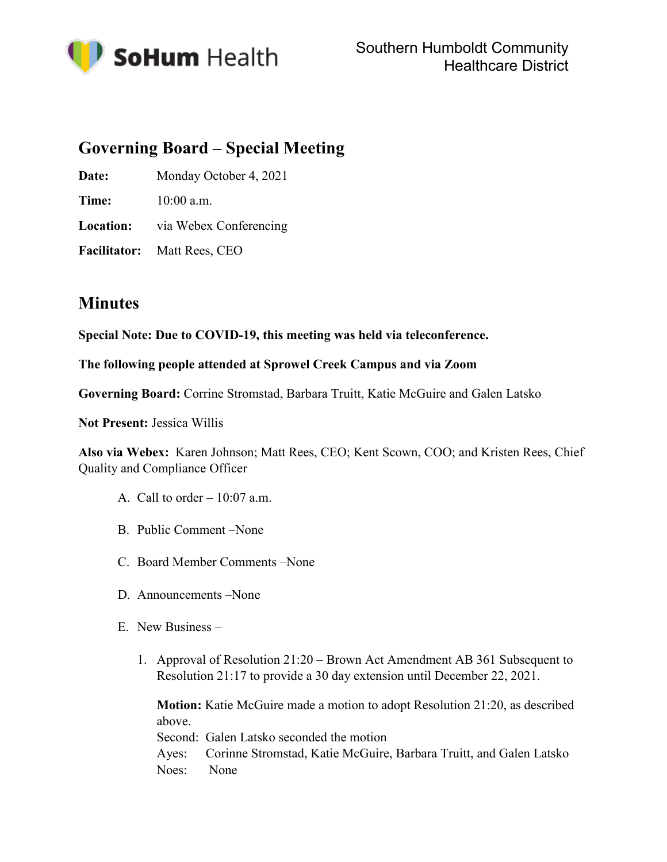

# **Governing Board – Special Meeting**

Date: Monday October 4, 2021

**Time:**  $10:00$  a.m.

**Location:** via Webex Conferencing

**Facilitator:** Matt Rees, CEO

## **Minutes**

**Special Note: Due to COVID-19, this meeting was held via teleconference.**

#### **The following people attended at Sprowel Creek Campus and via Zoom**

**Governing Board:** Corrine Stromstad, Barbara Truitt, Katie McGuire and Galen Latsko

**Not Present:** Jessica Willis

**Also via Webex:** Karen Johnson; Matt Rees, CEO; Kent Scown, COO; and Kristen Rees, Chief Quality and Compliance Officer

- A. Call to order  $-10:07$  a.m.
- B. Public Comment –None
- C. Board Member Comments –None
- D. Announcements –None
- E. New Business
	- 1. Approval of Resolution 21:20 Brown Act Amendment AB 361 Subsequent to Resolution 21:17 to provide a 30 day extension until December 22, 2021.

**Motion:** Katie McGuire made a motion to adopt Resolution 21:20, as described above.

Second: Galen Latsko seconded the motion

Ayes: Corinne Stromstad, Katie McGuire, Barbara Truitt, and Galen Latsko Noes: None